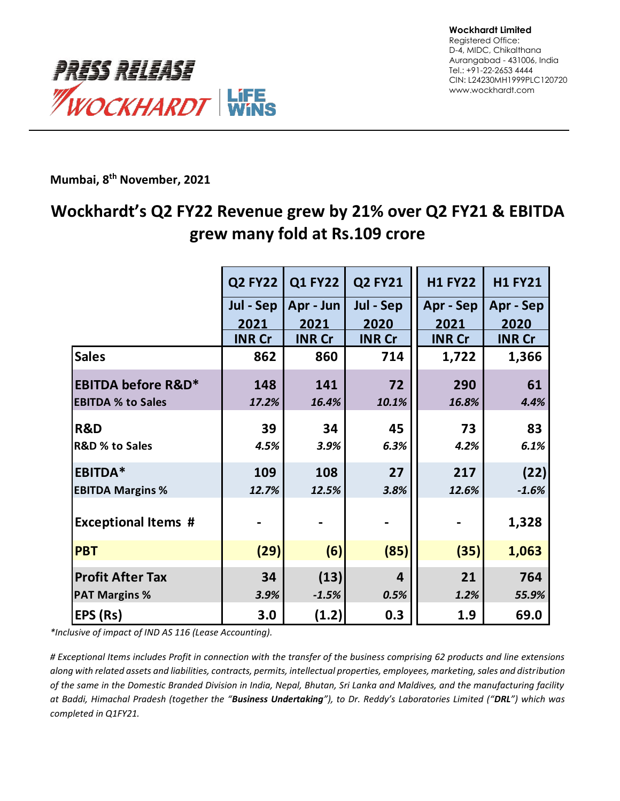

**Mumbai, 8 th November, 2021**

# **Wockhardt's Q2 FY22 Revenue grew by 21% over Q2 FY21 & EBITDA grew many fold at Rs.109 crore**

|                               | <b>Q2 FY22</b> | <b>Q1 FY22</b> | <b>Q2 FY21</b>          | <b>H1 FY22</b> | <b>H1 FY21</b> |
|-------------------------------|----------------|----------------|-------------------------|----------------|----------------|
|                               | Jul - Sep      | Apr - Jun      | Jul - Sep               | Apr - Sep      | Apr - Sep      |
|                               | 2021           | 2021           | 2020                    | 2021           | 2020           |
|                               | <b>INR Cr</b>  | <b>INR Cr</b>  | <b>INR Cr</b>           | <b>INR Cr</b>  | <b>INR Cr</b>  |
| <b>Sales</b>                  | 862            | 860            | 714                     | 1,722          | 1,366          |
| <b>EBITDA before R&amp;D*</b> | 148            | 141            | 72                      | 290            | 61             |
| <b>EBITDA % to Sales</b>      | 17.2%          | 16.4%          | 10.1%                   | 16.8%          | 4.4%           |
| <b>R&amp;D</b>                | 39             | 34             | 45                      | 73             | 83             |
| <b>R&amp;D % to Sales</b>     | 4.5%           | 3.9%           | 6.3%                    | 4.2%           | 6.1%           |
| <b>EBITDA*</b>                | 109            | 108            | 27                      | 217            | (22)           |
| <b>EBITDA Margins %</b>       | 12.7%          | 12.5%          | 3.8%                    | 12.6%          | $-1.6%$        |
| <b>Exceptional Items #</b>    |                |                |                         |                | 1,328          |
| <b>PBT</b>                    | (29)           | (6)            | (85)                    | (35)           | 1,063          |
| <b>Profit After Tax</b>       | 34             | (13)           | $\overline{\mathbf{a}}$ | 21             | 764            |
| <b>PAT Margins %</b>          | 3.9%           | $-1.5%$        | 0.5%                    | 1.2%           | 55.9%          |
| EPS (Rs)                      | 3.0            | (1.2)          | 0.3                     | 1.9            | 69.0           |

*\*Inclusive of impact of IND AS 116 (Lease Accounting).*

*# Exceptional Items includes Profit in connection with the transfer of the business comprising 62 products and line extensions along with related assets and liabilities, contracts, permits, intellectual properties, employees, marketing, sales and distribution of the same in the Domestic Branded Division in India, Nepal, Bhutan, Sri Lanka and Maldives, and the manufacturing facility at Baddi, Himachal Pradesh (together the "Business Undertaking"), to Dr. Reddy's Laboratories Limited ("DRL") which was completed in Q1FY21.*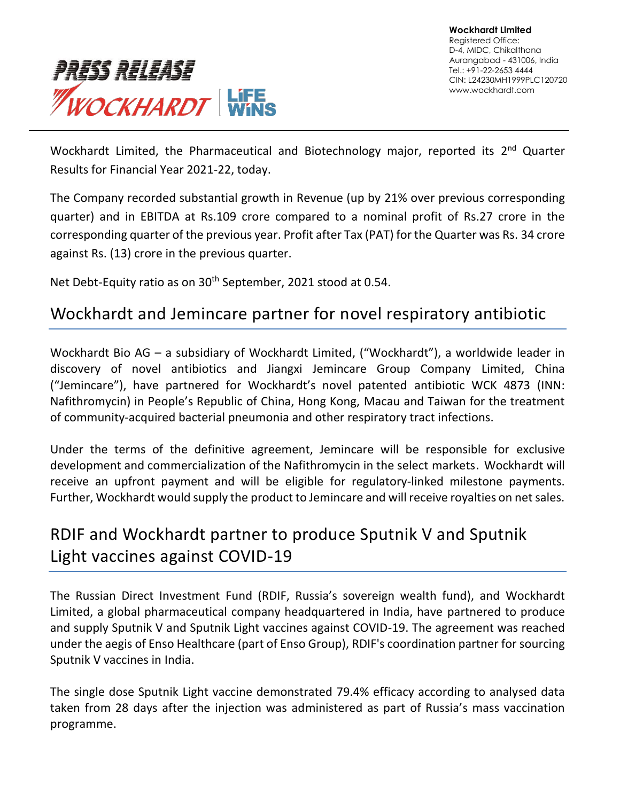

Wockhardt Limited, the Pharmaceutical and Biotechnology major, reported its 2<sup>nd</sup> Quarter Results for Financial Year 2021-22, today.

The Company recorded substantial growth in Revenue (up by 21% over previous corresponding quarter) and in EBITDA at Rs.109 crore compared to a nominal profit of Rs.27 crore in the corresponding quarter of the previous year. Profit after Tax (PAT) for the Quarter was Rs. 34 crore against Rs. (13) crore in the previous quarter.

Net Debt-Equity ratio as on 30<sup>th</sup> September, 2021 stood at 0.54.

## Wockhardt and Jemincare partner for novel respiratory antibiotic

Wockhardt Bio AG – a subsidiary of Wockhardt Limited, ("Wockhardt"), a worldwide leader in discovery of novel antibiotics and Jiangxi Jemincare Group Company Limited, China ("Jemincare"), have partnered for Wockhardt's novel patented antibiotic WCK 4873 (INN: Nafithromycin) in People's Republic of China, Hong Kong, Macau and Taiwan for the treatment of community-acquired bacterial pneumonia and other respiratory tract infections.

Under the terms of the definitive agreement, Jemincare will be responsible for exclusive development and commercialization of the Nafithromycin in the select markets. Wockhardt will receive an upfront payment and will be eligible for regulatory-linked milestone payments. Further, Wockhardt would supply the product to Jemincare and will receive royalties on net sales.

# RDIF and Wockhardt partner to produce Sputnik V and Sputnik Light vaccines against COVID-19

The Russian Direct Investment Fund (RDIF, Russia's sovereign wealth fund), and Wockhardt Limited, a global pharmaceutical company headquartered in India, have partnered to produce and supply Sputnik V and Sputnik Light vaccines against COVID-19. The agreement was reached under the aegis of Enso Healthcare (part of Enso Group), RDIF's coordination partner for sourcing Sputnik V vaccines in India.

The single dose Sputnik Light vaccine demonstrated 79.4% efficacy according to analysed data taken from 28 days after the injection was administered as part of Russia's mass vaccination programme.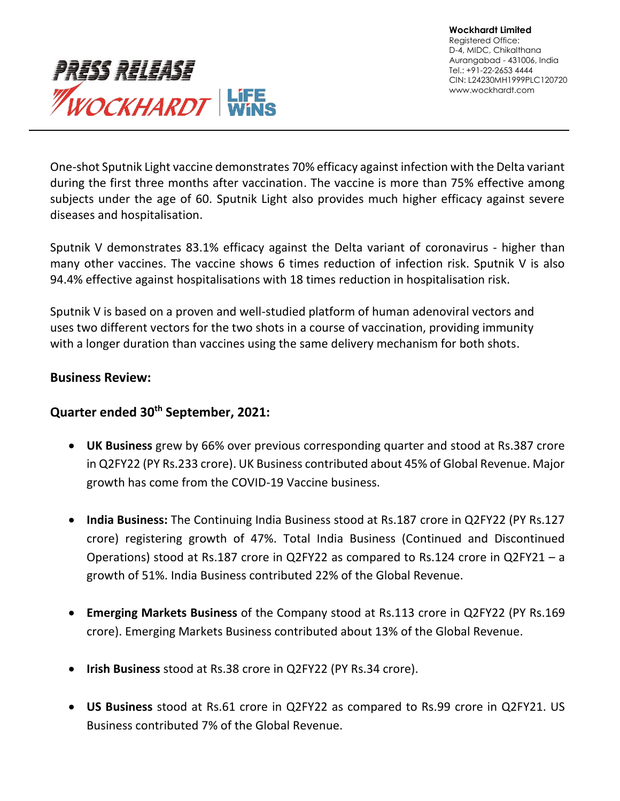

One-shot Sputnik Light vaccine demonstrates 70% efficacy against infection with the Delta variant during the first three months after vaccination. The vaccine is more than 75% effective among subjects under the age of 60. Sputnik Light also provides much higher efficacy against severe diseases and hospitalisation.

Sputnik V demonstrates 83.1% efficacy against the Delta variant of coronavirus - higher than many other vaccines. The vaccine shows 6 times reduction of infection risk. Sputnik V is also 94.4% effective against hospitalisations with 18 times reduction in hospitalisation risk.

Sputnik V is based on a proven and well-studied platform of human adenoviral vectors and uses two different vectors for the two shots in a course of vaccination, providing immunity with a longer duration than vaccines using the same delivery mechanism for both shots.

### **Business Review:**

#### **Quarter ended 30th September, 2021:**

- **UK Business** grew by 66% over previous corresponding quarter and stood at Rs.387 crore in Q2FY22 (PY Rs.233 crore). UK Business contributed about 45% of Global Revenue. Major growth has come from the COVID-19 Vaccine business.
- **India Business:** The Continuing India Business stood at Rs.187 crore in Q2FY22 (PY Rs.127 crore) registering growth of 47%. Total India Business (Continued and Discontinued Operations) stood at Rs.187 crore in Q2FY22 as compared to Rs.124 crore in Q2FY21 – a growth of 51%. India Business contributed 22% of the Global Revenue.
- **Emerging Markets Business** of the Company stood at Rs.113 crore in Q2FY22 (PY Rs.169 crore). Emerging Markets Business contributed about 13% of the Global Revenue.
- **Irish Business** stood at Rs.38 crore in Q2FY22 (PY Rs.34 crore).
- **US Business** stood at Rs.61 crore in Q2FY22 as compared to Rs.99 crore in Q2FY21. US Business contributed 7% of the Global Revenue.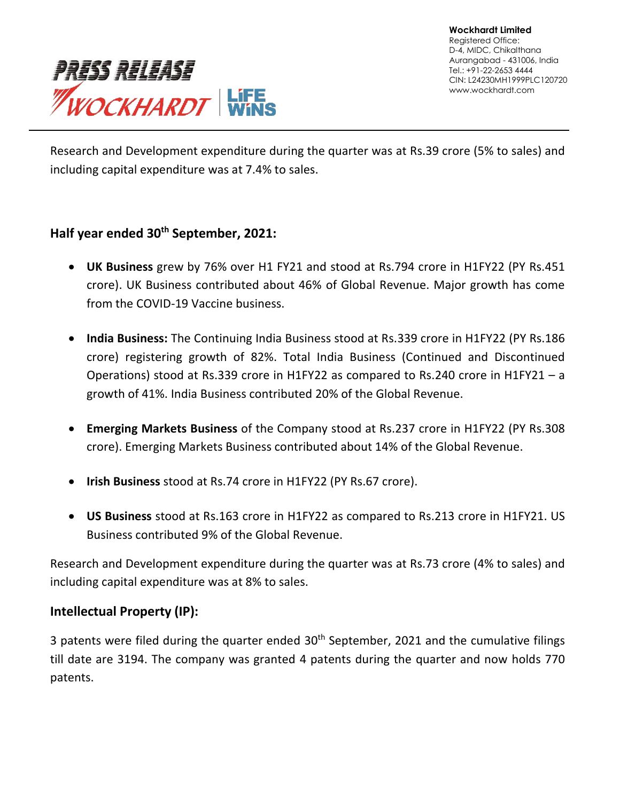

Research and Development expenditure during the quarter was at Rs.39 crore (5% to sales) and including capital expenditure was at 7.4% to sales.

### **Half year ended 30th September, 2021:**

- **UK Business** grew by 76% over H1 FY21 and stood at Rs.794 crore in H1FY22 (PY Rs.451 crore). UK Business contributed about 46% of Global Revenue. Major growth has come from the COVID-19 Vaccine business.
- **India Business:** The Continuing India Business stood at Rs.339 crore in H1FY22 (PY Rs.186 crore) registering growth of 82%. Total India Business (Continued and Discontinued Operations) stood at Rs.339 crore in H1FY22 as compared to Rs.240 crore in H1FY21 – a growth of 41%. India Business contributed 20% of the Global Revenue.
- **Emerging Markets Business** of the Company stood at Rs.237 crore in H1FY22 (PY Rs.308 crore). Emerging Markets Business contributed about 14% of the Global Revenue.
- **Irish Business** stood at Rs.74 crore in H1FY22 (PY Rs.67 crore).
- **US Business** stood at Rs.163 crore in H1FY22 as compared to Rs.213 crore in H1FY21. US Business contributed 9% of the Global Revenue.

Research and Development expenditure during the quarter was at Rs.73 crore (4% to sales) and including capital expenditure was at 8% to sales.

### **Intellectual Property (IP):**

3 patents were filed during the quarter ended  $30<sup>th</sup>$  September, 2021 and the cumulative filings till date are 3194. The company was granted 4 patents during the quarter and now holds 770 patents.